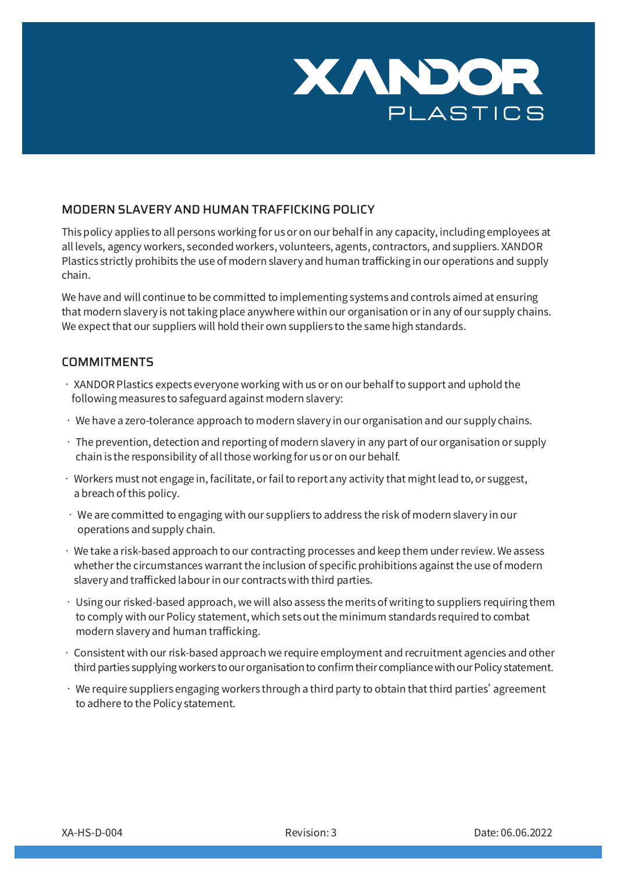

## MODERN SLAVERY AND HUMAN TRAFFICKING POLICY

This policy applies to all persons working for us or on our behalf in any capacity, including employees at all levels, agency workers, seconded workers, volunteers, agents, contractors, and suppliers. XANDOR Plastics strictly prohibits the use of modern slavery and human trafficking in our operations and supply chain.

We have and will continue to be committed to implementing systems and controls aimed at ensuring that modern slavery is not taking place anywhere within our organisation or in any of our supply chains. We expect that our suppliers will hold their own suppliers to the same high standards.

## **COMMITMENTS**

- $\cdot$  XANDOR Plastics expects everyone working with us or on our behalf to support and uphold the following measures to safeguard against modern slavery:
- We have a zero-tolerance approach to modern slavery in our organisation and our supply chains.
- The prevention, detection and reporting of modern slavery in any part of our organisation or supply chain is the responsibility of all those working for us or on our behalf.
- Workers must not engage in, facilitate, or fail to report any activity that might lead to, or suggest, a breach of this policy.
- We are committed to engaging with our suppliers to address the risk of modern slavery in our operations and supply chain.
- We take a risk-based approach to our contracting processes and keep them under review. We assess whether the circumstances warrant the inclusion of specific prohibitions against the use of modern slavery and trafficked labour in our contracts with third parties.
- $\cdot$  Using our risked-based approach, we will also assess the merits of writing to suppliers requiring them to comply with our Policy statement, which sets out the minimum standards required to combat modern slavery and human trafficking.
- Consistent with our risk-based approach we require employment and recruitment agencies and other third parties supplying workers to our organisation to confirm their compliance with our Policy statement.
- $\cdot$  We require suppliers engaging workers through a third party to obtain that third parties' agreement to adhere to the Policy statement.